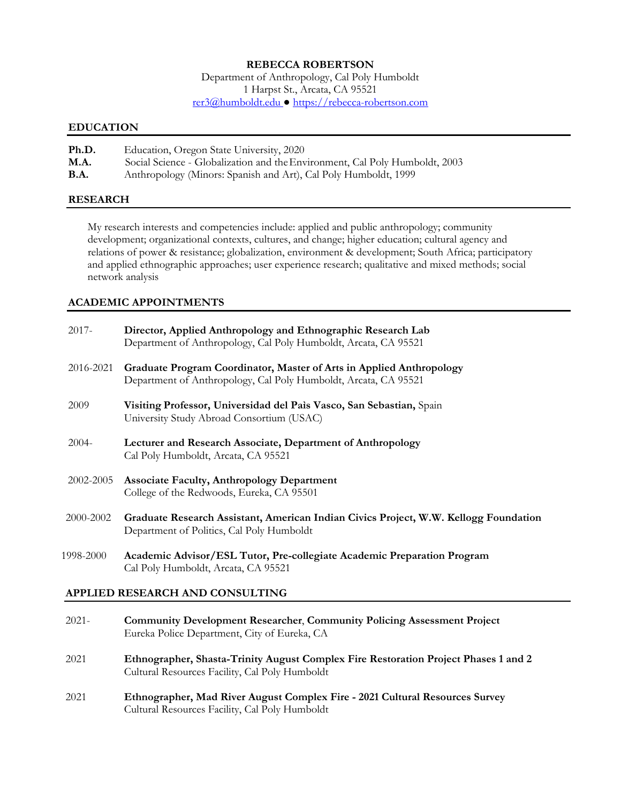### **REBECCA ROBERTSON**

Department of Anthropology, Cal Poly Humboldt 1 Harpst St., Arcata, CA 95521 [rer3@humboldt.edu](mailto:rer3@humboldt.edu) ● [https://rebecca-robertson.com](https://rebecca-robertson.com/)

#### **EDUCATION**

| Ph.D.       | Education, Oregon State University, 2020                                    |
|-------------|-----------------------------------------------------------------------------|
| <b>M.A.</b> | Social Science - Globalization and the Environment, Cal Poly Humboldt, 2003 |
| <b>B.A.</b> | Anthropology (Minors: Spanish and Art), Cal Poly Humboldt, 1999             |

#### **RESEARCH**

My research interests and competencies include: applied and public anthropology; community development; organizational contexts, cultures, and change; higher education; cultural agency and relations of power & resistance; globalization, environment & development; South Africa; participatory and applied ethnographic approaches; user experience research; qualitative and mixed methods; social network analysis

#### **ACADEMIC APPOINTMENTS**

| $2017 -$  | Director, Applied Anthropology and Ethnographic Research Lab<br>Department of Anthropology, Cal Poly Humboldt, Arcata, CA 95521         |
|-----------|-----------------------------------------------------------------------------------------------------------------------------------------|
| 2016-2021 | Graduate Program Coordinator, Master of Arts in Applied Anthropology<br>Department of Anthropology, Cal Poly Humboldt, Arcata, CA 95521 |
| 2009      | Visiting Professor, Universidad del Paìs Vasco, San Sebastian, Spain<br>University Study Abroad Consortium (USAC)                       |
| $2004 -$  | Lecturer and Research Associate, Department of Anthropology<br>Cal Poly Humboldt, Arcata, CA 95521                                      |
| 2002-2005 | <b>Associate Faculty, Anthropology Department</b><br>College of the Redwoods, Eureka, CA 95501                                          |
| 2000-2002 | Graduate Research Assistant, American Indian Civics Project, W.W. Kellogg Foundation<br>Department of Politics, Cal Poly Humboldt       |
| 1998-2000 | Academic Advisor/ESL Tutor, Pre-collegiate Academic Preparation Program<br>Cal Poly Humboldt, Arcata, CA 95521                          |

#### **APPLIED RESEARCH AND CONSULTING**

| $2021 -$ | <b>Community Development Researcher, Community Policing Assessment Project</b> |
|----------|--------------------------------------------------------------------------------|
|          | Eureka Police Department, City of Eureka, CA                                   |
|          |                                                                                |

- 2021 **Ethnographer, Shasta-Trinity August Complex Fire Restoration Project Phases 1 and 2** Cultural Resources Facility, Cal Poly Humboldt
- 2021 **Ethnographer, Mad River August Complex Fire - 2021 Cultural Resources Survey** Cultural Resources Facility, Cal Poly Humboldt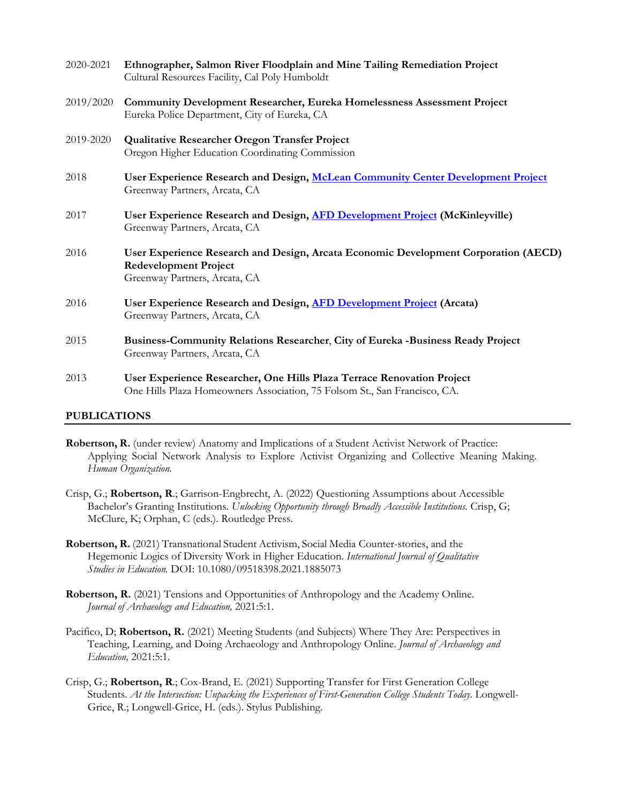| 2020-2021 | Ethnographer, Salmon River Floodplain and Mine Tailing Remediation Project<br>Cultural Resources Facility, Cal Poly Humboldt                         |
|-----------|------------------------------------------------------------------------------------------------------------------------------------------------------|
| 2019/2020 | <b>Community Development Researcher, Eureka Homelessness Assessment Project</b><br>Eureka Police Department, City of Eureka, CA                      |
| 2019-2020 | Qualitative Researcher Oregon Transfer Project<br>Oregon Higher Education Coordinating Commission                                                    |
| 2018      | User Experience Research and Design, McLean Community Center Development Project<br>Greenway Partners, Arcata, CA                                    |
| 2017      | User Experience Research and Design, AFD Development Project (McKinleyville)<br>Greenway Partners, Arcata, CA                                        |
| 2016      | User Experience Research and Design, Arcata Economic Development Corporation (AECD)<br><b>Redevelopment Project</b><br>Greenway Partners, Arcata, CA |
| 2016      | User Experience Research and Design, AFD Development Project (Arcata)<br>Greenway Partners, Arcata, CA                                               |
| 2015      | Business-Community Relations Researcher, City of Eureka -Business Ready Project<br>Greenway Partners, Arcata, CA                                     |
| 2013      | User Experience Researcher, One Hills Plaza Terrace Renovation Project<br>One Hills Plaza Homeowners Association, 75 Folsom St., San Francisco, CA.  |

### **PUBLICATIONS**

- **Robertson, R.** (under review) Anatomy and Implications of a Student Activist Network of Practice: Applying Social Network Analysis to Explore Activist Organizing and Collective Meaning Making. *Human Organization.*
- Crisp, G.; **Robertson, R**.; Garrison-Engbrecht, A. (2022) Questioning Assumptions about Accessible Bachelor's Granting Institutions. *Unlocking Opportunity through Broadly Accessible Institutions.* Crisp, G; McClure, K; Orphan, C (eds.). Routledge Press.
- **Robertson, R.** (2021) Transnational Student Activism, Social Media Counter-stories, and the Hegemonic Logics of Diversity Work in Higher Education. *International Journal of Qualitative Studies in Education.* DOI: 10.1080/09518398.2021.1885073
- **Robertson, R.** (2021) Tensions and Opportunities of Anthropology and the Academy Online. *Journal of Archaeology and Education,* 2021:5:1.
- Pacifico, D; Robertson, R. (2021) Meeting Students (and Subjects) Where They Are: Perspectives in Teaching, Learning, and Doing Archaeology and Anthropology Online. *Journal of Archaeology and Education,* 2021:5:1.
- Crisp, G.; **Robertson, R**.; Cox-Brand, E. (2021) Supporting Transfer for First Generation College Students. *At the Intersection: Unpacking the Experiences of First-Generation College Students Today. Longwell-*Grice, R.; Longwell-Grice, H. (eds.). Stylus Publishing.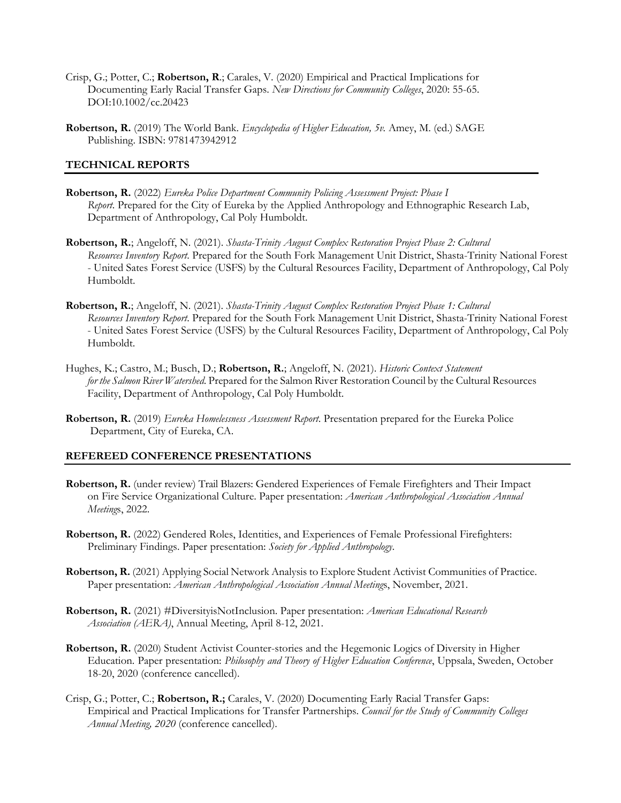- Crisp, G.; Potter, C.; **Robertson, R**.; Carales, V. (2020) Empirical and Practical Implications for Documenting Early Racial Transfer Gaps. *New Directions for Community Colleges*, 2020: 55-65. DOI:10.1002/cc.20423
- **Robertson, R.** (2019) The World Bank. *Encyclopedia of Higher Education, 5v.* Amey, M. (ed.) SAGE Publishing. ISBN: 9781473942912

### **TECHNICAL REPORTS**

- **Robertson, R.** (2022) *Eureka Police Department Community Policing Assessment Project: Phase I Report*. Prepared for the City of Eureka by the Applied Anthropology and Ethnographic Research Lab, Department of Anthropology, Cal Poly Humboldt.
- **Robertson, R.**; Angeloff, N. (2021). *Shasta-Trinity August Complex Restoration Project Phase 2: Cultural Resources Inventory Report*. Prepared for the South Fork Management Unit District, Shasta-Trinity National Forest - United Sates Forest Service (USFS) by the Cultural Resources Facility, Department of Anthropology, Cal Poly Humboldt.
- **Robertson, R.**; Angeloff, N. (2021). *Shasta-Trinity August Complex Restoration Project Phase 1: Cultural Resources Inventory Report*. Prepared for the South Fork Management Unit District, Shasta-Trinity National Forest - United Sates Forest Service (USFS) by the Cultural Resources Facility, Department of Anthropology, Cal Poly Humboldt.
- Hughes, K.; Castro, M.; Busch, D.; **Robertson, R.**; Angeloff, N. (2021). *Historic Context Statement for the Salmon River Watershed*. Prepared for the Salmon River Restoration Council by the Cultural Resources Facility, Department of Anthropology, Cal Poly Humboldt.
- **Robertson, R.** (2019) *Eureka Homelessness Assessment Report*. Presentation prepared for the Eureka Police Department, City of Eureka, CA.

#### **REFEREED CONFERENCE PRESENTATIONS**

- **Robertson, R.** (under review) Trail Blazers: Gendered Experiences of Female Firefighters and Their Impact on Fire Service Organizational Culture. Paper presentation: *American Anthropological Association Annual Meeting*s, 2022.
- **Robertson, R.** (2022) Gendered Roles, Identities, and Experiences of Female Professional Firefighters: Preliminary Findings. Paper presentation: *Society for Applied Anthropology*.
- **Robertson, R.** (2021) Applying Social Network Analysis to Explore Student Activist Communities of Practice. Paper presentation: *American Anthropological Association Annual Meeting*s, November, 2021.
- **Robertson, R.** (2021) #DiversityisNotInclusion. Paper presentation: *American Educational Research Association (AERA)*, Annual Meeting, April 8-12, 2021.
- **Robertson, R.** (2020) Student Activist Counter-stories and the Hegemonic Logics of Diversity in Higher Education. Paper presentation: *Philosophy and Theory of Higher Education Conference*, Uppsala, Sweden, October 18-20, 2020 (conference cancelled).
- Crisp, G.; Potter, C.; **Robertson, R.;** Carales, V. (2020) Documenting Early Racial Transfer Gaps: Empirical and Practical Implications for Transfer Partnerships. *Council for the Study of Community Colleges Annual Meeting, 2020* (conference cancelled).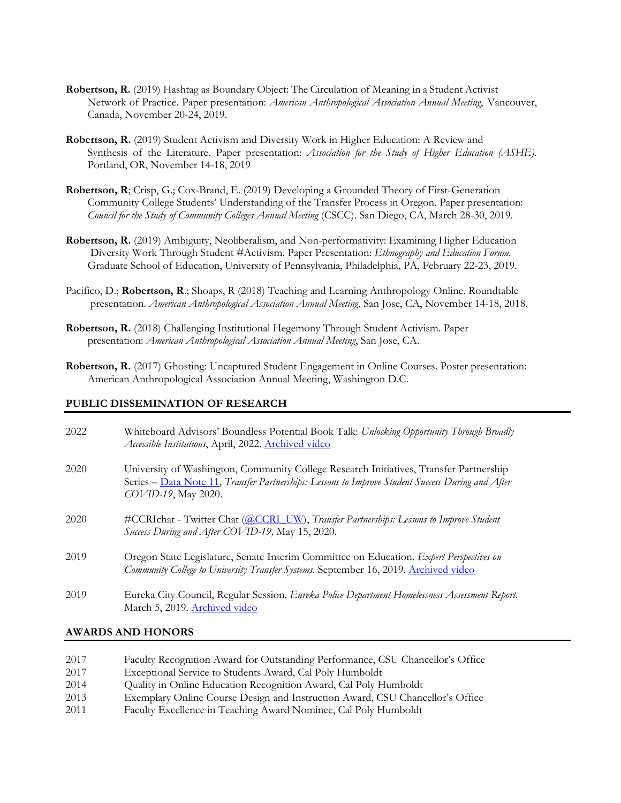- **Robertson, R.** (2019) Hashtag as Boundary Object: The Circulation of Meaning in a Student Activist Network of Practice. Paper presentation: *American Anthropological Association Annual Meeting*, Vancouver, Canada, November 20-24, 2019.
- **Robertson, R.** (2019) Student Activism and Diversity Work in Higher Education: A Review and Synthesis of the Literature. Paper presentation: *Association for the Study of Higher Education (ASHE).* Portland, OR, November 14-18, 2019
- **Robertson, R**; Crisp, G.; Cox-Brand, E. (2019) Developing a Grounded Theory of First-Generation Community College Students' Understanding of the Transfer Process in Oregon. Paper presentation: *Council for the Study of Community Colleges Annual Meeting* (CSCC). San Diego, CA, March 28-30, 2019.
- **Robertson, R.** (2019) Ambiguity, Neoliberalism, and Non-performativity: Examining Higher Education Diversity Work Through Student #Activism. Paper Presentation: *Ethnography and Education Forum.* Graduate School of Education, University of Pennsylvania, Philadelphia, PA, February 22-23, 2019.
- Pacifico, D.; **Robertson, R**.; Shoaps, R (2018) Teaching and Learning Anthropology Online. Roundtable presentation. *American Anthropological Association Annual Meeting*, San Jose, CA, November 14-18, 2018.
- **Robertson, R.** (2018) Challenging Institutional Hegemony Through Student Activism. Paper presentation: *American Anthropological Association Annual Meeting*, San Jose, CA.
- **Robertson, R.** (2017) Ghosting: Uncaptured Student Engagement in Online Courses. Poster presentation: American Anthropological Association Annual Meeting, Washington D.C.

### **PUBLIC DISSEMINATION OF RESEARCH**

| 2022 | Whiteboard Advisors' Boundless Potential Book Talk: Unlocking Opportunity Through Broadly<br>Accessible Institutions, April, 2022. Archived video                                                                  |
|------|--------------------------------------------------------------------------------------------------------------------------------------------------------------------------------------------------------------------|
| 2020 | University of Washington, Community College Research Initiatives, Transfer Partnership<br>Series – Data Note 11, Transfer Partnerships: Lessons to Improve Student Success During and After<br>COVID-19, May 2020. |
| 2020 | #CCRIchat - Twitter Chat (@CCRI_UW), Transfer Partnerships: Lessons to Improve Student<br>Success During and After COVID-19, May 15, 2020.                                                                         |
| 2019 | Oregon State Legislature, Senate Interim Committee on Education. Expert Perspectives on<br>Community College to University Transfer Systems. September 16, 2019. Archived video                                    |
| 2019 | Eureka City Council, Regular Session. Eureka Police Department Homelessness Assessment Report.<br>March 5, 2019. Archived video                                                                                    |

#### **AWARDS AND HONORS**

- 2017 Faculty Recognition Award for Outstanding Performance, CSU Chancellor's Office 2017 Exceptional Service to Students Award, Cal Poly Humboldt 2014 Quality in Online Education Recognition Award, Cal Poly Humboldt
- 
- 2013 Exemplary Online Course Design and Instruction Award, CSU Chancellor's Office
- 2011 Faculty Excellence in Teaching Award Nominee, Cal Poly Humboldt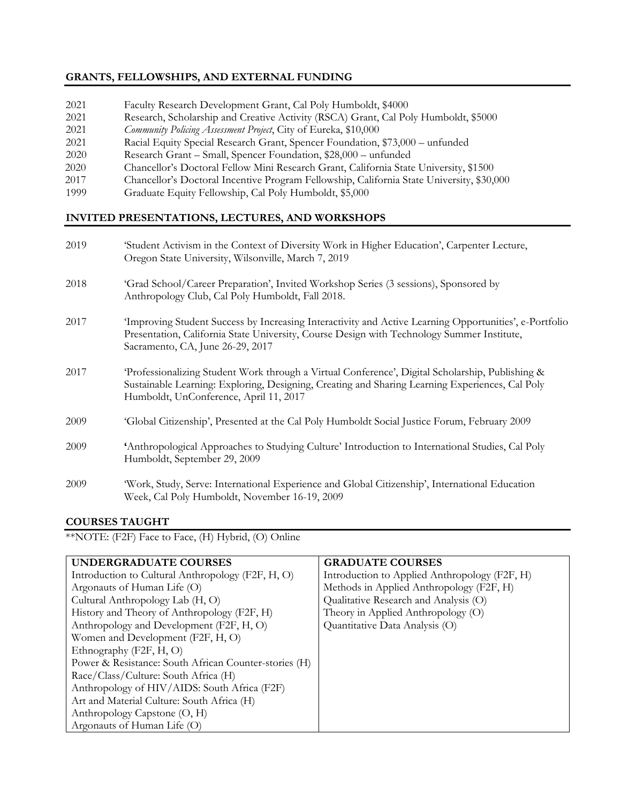## **GRANTS, FELLOWSHIPS, AND EXTERNAL FUNDING**

- 2021 Faculty Research Development Grant, Cal Poly Humboldt, \$4000
- 2021 Research, Scholarship and Creative Activity (RSCA) Grant, Cal Poly Humboldt, \$5000
- 2021 *Community Policing Assessment Project*, City of Eureka, \$10,000
- 2021 Racial Equity Special Research Grant, Spencer Foundation, \$73,000 unfunded
- 2020 Research Grant Small, Spencer Foundation, \$28,000 unfunded
- 2020 Chancellor's Doctoral Fellow Mini Research Grant, California State University, \$1500
- 2017 Chancellor's Doctoral Incentive Program Fellowship, California State University, \$30,000
- 1999 Graduate Equity Fellowship, Cal Poly Humboldt, \$5,000

### **INVITED PRESENTATIONS, LECTURES, AND WORKSHOPS**

| 2019 | 'Student Activism in the Context of Diversity Work in Higher Education', Carpenter Lecture,<br>Oregon State University, Wilsonville, March 7, 2019                                                                                           |
|------|----------------------------------------------------------------------------------------------------------------------------------------------------------------------------------------------------------------------------------------------|
| 2018 | 'Grad School/Career Preparation', Invited Workshop Series (3 sessions), Sponsored by<br>Anthropology Club, Cal Poly Humboldt, Fall 2018.                                                                                                     |
| 2017 | Improving Student Success by Increasing Interactivity and Active Learning Opportunities', e-Portfolio<br>Presentation, California State University, Course Design with Technology Summer Institute,<br>Sacramento, CA, June 26-29, 2017      |
| 2017 | Professionalizing Student Work through a Virtual Conference', Digital Scholarship, Publishing &<br>Sustainable Learning: Exploring, Designing, Creating and Sharing Learning Experiences, Cal Poly<br>Humboldt, UnConference, April 11, 2017 |
| 2009 | 'Global Citizenship', Presented at the Cal Poly Humboldt Social Justice Forum, February 2009                                                                                                                                                 |
| 2009 | Anthropological Approaches to Studying Culture' Introduction to International Studies, Cal Poly<br>Humboldt, September 29, 2009                                                                                                              |
| 2009 | 'Work, Study, Serve: International Experience and Global Citizenship', International Education<br>Week, Cal Poly Humboldt, November 16-19, 2009                                                                                              |

### **COURSES TAUGHT**

\*\*NOTE: (F2F) Face to Face, (H) Hybrid, (O) Online

| <b>UNDERGRADUATE COURSES</b>                          | <b>GRADUATE COURSES</b>                       |
|-------------------------------------------------------|-----------------------------------------------|
| Introduction to Cultural Anthropology (F2F, H, O)     | Introduction to Applied Anthropology (F2F, H) |
| Argonauts of Human Life (O)                           | Methods in Applied Anthropology (F2F, H)      |
| Cultural Anthropology Lab (H, O)                      | Qualitative Research and Analysis (O)         |
| History and Theory of Anthropology (F2F, H)           | Theory in Applied Anthropology (O)            |
| Anthropology and Development (F2F, H, O)              | Quantitative Data Analysis (O)                |
| Women and Development (F2F, H, O)                     |                                               |
| Ethnography (F2F, H, O)                               |                                               |
| Power & Resistance: South African Counter-stories (H) |                                               |
| Race/Class/Culture: South Africa (H)                  |                                               |
| Anthropology of HIV/AIDS: South Africa (F2F)          |                                               |
| Art and Material Culture: South Africa (H)            |                                               |
| Anthropology Capstone (O, H)                          |                                               |
| Argonauts of Human Life (O)                           |                                               |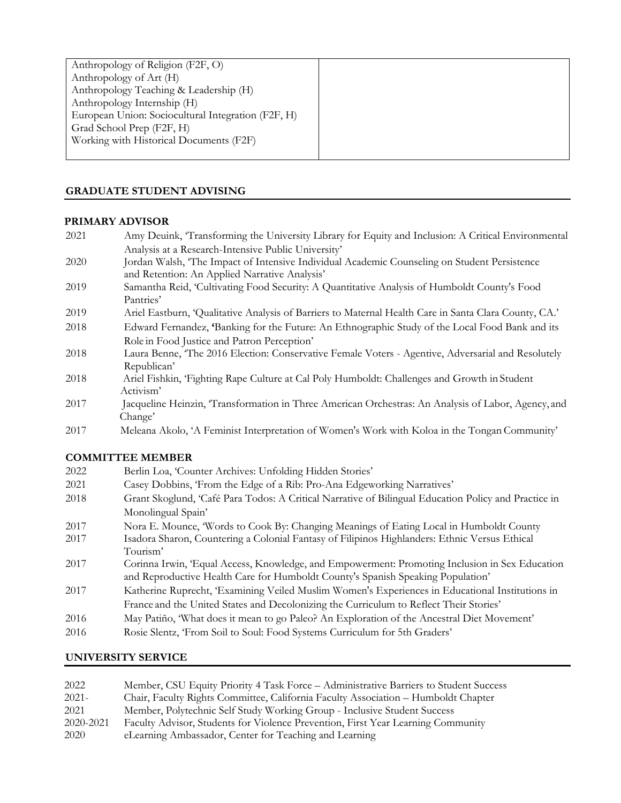| Anthropology of Religion (F2F, O)                  |  |
|----------------------------------------------------|--|
| Anthropology of Art (H)                            |  |
| Anthropology Teaching & Leadership (H)             |  |
| Anthropology Internship (H)                        |  |
| European Union: Sociocultural Integration (F2F, H) |  |
| Grad School Prep (F2F, H)                          |  |
| Working with Historical Documents (F2F)            |  |
|                                                    |  |

## **GRADUATE STUDENT ADVISING**

### **PRIMARY ADVISOR**

- 2021 Amy Deuink, 'Transforming the University Library for Equity and Inclusion: A Critical Environmental Analysis at a Research-Intensive Public University'
- 2020 Jordan Walsh, 'The Impact of Intensive Individual Academic Counseling on Student Persistence and Retention: An Applied Narrative Analysis'
- 2019 Samantha Reid, 'Cultivating Food Security: A Quantitative Analysis of Humboldt County's Food Pantries'
- 2019 Ariel Eastburn, 'Qualitative Analysis of Barriers to Maternal Health Care in Santa Clara County, CA.'
- 2018 Edward Fernandez, **'**Banking for the Future: An Ethnographic Study of the Local Food Bank and its Role in Food Justice and Patron Perception'
- 2018 Laura Benne, 'The 2016 Election: Conservative Female Voters Agentive, Adversarial and Resolutel[y](https://digitalcommons.humboldt.edu/etd/194/) [Republican'](https://digitalcommons.humboldt.edu/etd/194/)
- 2018 Ariel Fishkin, 'Fighting Rape Culture at Cal Poly Humboldt: Challenges and Growth in Studen[t](https://digitalcommons.humboldt.edu/etd/114/) [Activism'](https://digitalcommons.humboldt.edu/etd/114/)
- 2017 Jacqueline Heinzin, 'Transformation in Three American Orchestras: An Analysis of Labor, Agency, an[d](https://digitalcommons.humboldt.edu/etd/27/) [Change'](https://digitalcommons.humboldt.edu/etd/27/)
- 2017 Meleana Akolo, 'A Feminist Interpretation of Women's Work with Koloa in the Tongan Community'

## **COMMITTEE MEMBER**

| 2022 | Berlin Loa, 'Counter Archives: Unfolding Hidden Stories'                                             |
|------|------------------------------------------------------------------------------------------------------|
| 2021 | Casey Dobbins, 'From the Edge of a Rib: Pro-Ana Edgeworking Narratives'                              |
| 2018 | Grant Skoglund, 'Café Para Todos: A Critical Narrative of Bilingual Education Policy and Practice in |
|      | Monolingual Spain'                                                                                   |
| 2017 | Nora E. Mounce, 'Words to Cook By: Changing Meanings of Eating Local in Humboldt County              |
| 2017 | Isadora Sharon, Countering a Colonial Fantasy of Filipinos Highlanders: Ethnic Versus Ethical        |
|      | Tourism'                                                                                             |
| 2017 | Corinna Irwin, 'Equal Access, Knowledge, and Empowerment: Promoting Inclusion in Sex Education       |
|      | and Reproductive Health Care for Humboldt County's Spanish Speaking Population'                      |
| 2017 | Katherine Ruprecht, 'Examining Veiled Muslim Women's Experiences in Educational Institutions in      |
|      | France and the United States and Decolonizing the Curriculum to Reflect Their Stories'               |
| 2016 | May Patiño, 'What does it mean to go Paleo? An Exploration of the Ancestral Diet Movement'           |
| 2016 | Rosie Slentz, 'From Soil to Soul: Food Systems Curriculum for 5th Graders'                           |

### **UNIVERSITY SERVICE**

| 2022      | Member, CSU Equity Priority 4 Task Force – Administrative Barriers to Student Success |
|-----------|---------------------------------------------------------------------------------------|
| $2021 -$  | Chair, Faculty Rights Committee, California Faculty Association - Humboldt Chapter    |
| 2021      | Member, Polytechnic Self Study Working Group - Inclusive Student Success              |
| 2020-2021 | Faculty Advisor, Students for Violence Prevention, First Year Learning Community      |
| 2020      | eLearning Ambassador, Center for Teaching and Learning                                |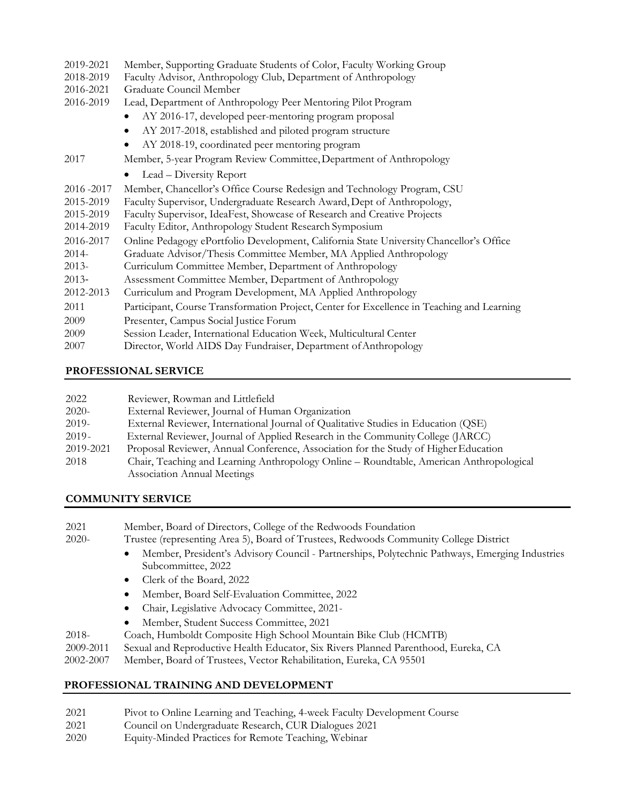| 2019-2021   | Member, Supporting Graduate Students of Color, Faculty Working Group                       |
|-------------|--------------------------------------------------------------------------------------------|
| 2018-2019   | Faculty Advisor, Anthropology Club, Department of Anthropology                             |
| 2016-2021   | Graduate Council Member                                                                    |
| 2016-2019   | Lead, Department of Anthropology Peer Mentoring Pilot Program                              |
|             | AY 2016-17, developed peer-mentoring program proposal                                      |
|             | AY 2017-2018, established and piloted program structure<br>$\bullet$                       |
|             | AY 2018-19, coordinated peer mentoring program<br>٠                                        |
| 2017        | Member, 5-year Program Review Committee, Department of Anthropology                        |
|             | Lead – Diversity Report<br>$\bullet$                                                       |
| 2016 - 2017 | Member, Chancellor's Office Course Redesign and Technology Program, CSU                    |
| 2015-2019   | Faculty Supervisor, Undergraduate Research Award, Dept of Anthropology,                    |
| 2015-2019   | Faculty Supervisor, IdeaFest, Showcase of Research and Creative Projects                   |
| 2014-2019   | Faculty Editor, Anthropology Student Research Symposium                                    |
| 2016-2017   | Online Pedagogy ePortfolio Development, California State University Chancellor's Office    |
| $2014 -$    | Graduate Advisor/Thesis Committee Member, MA Applied Anthropology                          |
| $2013-$     | Curriculum Committee Member, Department of Anthropology                                    |
| $2013 -$    | Assessment Committee Member, Department of Anthropology                                    |
| 2012-2013   | Curriculum and Program Development, MA Applied Anthropology                                |
| 2011        | Participant, Course Transformation Project, Center for Excellence in Teaching and Learning |
| 2009        | Presenter, Campus Social Justice Forum                                                     |
| 2009        | Session Leader, International Education Week, Multicultural Center                         |
| 2007        | Director, World AIDS Day Fundraiser, Department of Anthropology                            |

# **PROFESSIONAL SERVICE**

| 2022      | Reviewer, Rowman and Littlefield                                                        |
|-----------|-----------------------------------------------------------------------------------------|
| $2020-$   | External Reviewer, Journal of Human Organization                                        |
| $2019-$   | External Reviewer, International Journal of Qualitative Studies in Education (QSE)      |
| $2019 -$  | External Reviewer, Journal of Applied Research in the Community College (JARCC)         |
| 2019-2021 | Proposal Reviewer, Annual Conference, Association for the Study of Higher Education     |
| 2018      | Chair, Teaching and Learning Anthropology Online – Roundtable, American Anthropological |
|           | <b>Association Annual Meetings</b>                                                      |

# **COMMUNITY SERVICE**

| 2021  | Member, Board of Directors, College of the Redwoods Foundation                                                       |
|-------|----------------------------------------------------------------------------------------------------------------------|
| 2020- | Trustee (representing Area 5), Board of Trustees, Redwoods Community College District                                |
|       | Member, President's Advisory Council - Partnerships, Polytechnic Pathways, Emerging Industries<br>Subcommittee, 2022 |
|       | Clerk of the Board, 2022                                                                                             |
|       | Member, Board Self-Evaluation Committee, 2022                                                                        |
|       | Chair, Legislative Advocacy Committee, 2021-<br>$\bullet$                                                            |
|       | Member, Student Success Committee, 2021                                                                              |

- 2018- Coach, Humboldt Composite High School Mountain Bike Club (HCMTB)
- 2009-2011 Sexual and Reproductive Health Educator, Six Rivers Planned Parenthood, Eureka, CA
- 2002-2007 Member, Board of Trustees, Vector Rehabilitation, Eureka, CA 95501

# **PROFESSIONAL TRAINING AND DEVELOPMENT**

- 2021 Pivot to Online Learning and Teaching, 4-week Faculty Development Course
- 2021 Council on Undergraduate Research, CUR Dialogues 2021
- 2020 Equity-Minded Practices for Remote Teaching, Webinar